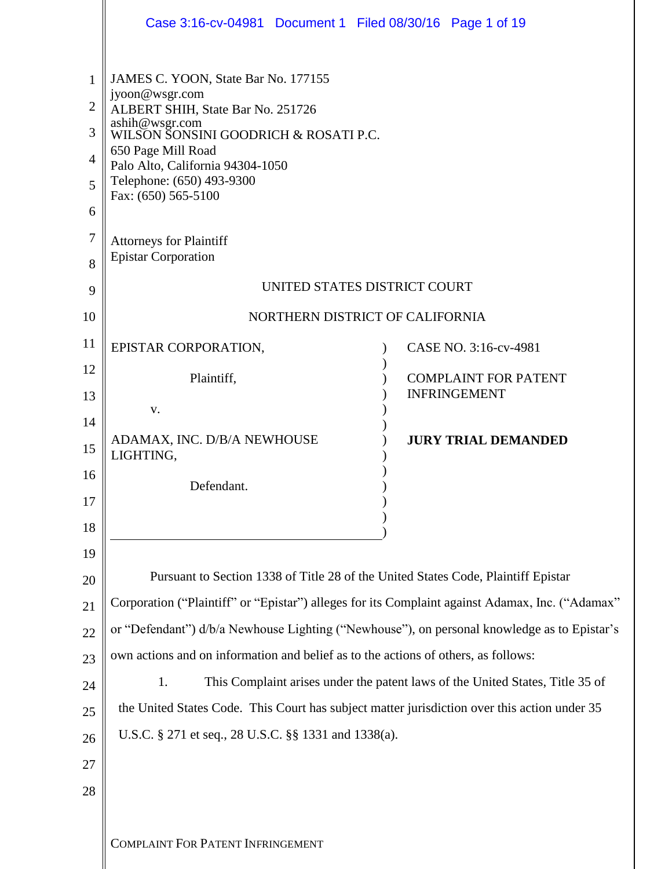|                                                      | Case 3:16-cv-04981 Document 1 Filed 08/30/16 Page 1 of 19                                                                                                                                                                                                           |                             |  |  |  |
|------------------------------------------------------|---------------------------------------------------------------------------------------------------------------------------------------------------------------------------------------------------------------------------------------------------------------------|-----------------------------|--|--|--|
| 1<br>$\overline{2}$<br>3<br>$\overline{4}$<br>5<br>6 | JAMES C. YOON, State Bar No. 177155<br>jyoon@wsgr.com<br>ALBERT SHIH, State Bar No. 251726<br>ashih@wsgr.com<br>WILSON SONSINI GOODRICH & ROSATI P.C.<br>650 Page Mill Road<br>Palo Alto, California 94304-1050<br>Telephone: (650) 493-9300<br>Fax: (650) 565-5100 |                             |  |  |  |
| $\tau$<br>8                                          | <b>Attorneys for Plaintiff</b><br><b>Epistar Corporation</b>                                                                                                                                                                                                        |                             |  |  |  |
| 9                                                    | UNITED STATES DISTRICT COURT                                                                                                                                                                                                                                        |                             |  |  |  |
| 10                                                   | NORTHERN DISTRICT OF CALIFORNIA                                                                                                                                                                                                                                     |                             |  |  |  |
| 11                                                   | EPISTAR CORPORATION,                                                                                                                                                                                                                                                | CASE NO. 3:16-cv-4981       |  |  |  |
| 12                                                   | Plaintiff,                                                                                                                                                                                                                                                          | <b>COMPLAINT FOR PATENT</b> |  |  |  |
| 13                                                   | V.                                                                                                                                                                                                                                                                  | <b>INFRINGEMENT</b>         |  |  |  |
| 14                                                   | ADAMAX, INC. D/B/A NEWHOUSE                                                                                                                                                                                                                                         | <b>JURY TRIAL DEMANDED</b>  |  |  |  |
| 15                                                   | LIGHTING,                                                                                                                                                                                                                                                           |                             |  |  |  |
| 16                                                   | Defendant.                                                                                                                                                                                                                                                          |                             |  |  |  |
| 17                                                   |                                                                                                                                                                                                                                                                     |                             |  |  |  |
| 18<br>19                                             |                                                                                                                                                                                                                                                                     |                             |  |  |  |
| 20                                                   | Pursuant to Section 1338 of Title 28 of the United States Code, Plaintiff Epistar                                                                                                                                                                                   |                             |  |  |  |
| 21                                                   | Corporation ("Plaintiff" or "Epistar") alleges for its Complaint against Adamax, Inc. ("Adamax"                                                                                                                                                                     |                             |  |  |  |
| 22                                                   | or "Defendant") d/b/a Newhouse Lighting ("Newhouse"), on personal knowledge as to Epistar's                                                                                                                                                                         |                             |  |  |  |
| 23                                                   | own actions and on information and belief as to the actions of others, as follows:                                                                                                                                                                                  |                             |  |  |  |
| 24                                                   | 1.<br>This Complaint arises under the patent laws of the United States, Title 35 of                                                                                                                                                                                 |                             |  |  |  |
| 25                                                   | the United States Code. This Court has subject matter jurisdiction over this action under 35                                                                                                                                                                        |                             |  |  |  |
| 26                                                   | U.S.C. § 271 et seq., 28 U.S.C. §§ 1331 and 1338(a).                                                                                                                                                                                                                |                             |  |  |  |
| 27                                                   |                                                                                                                                                                                                                                                                     |                             |  |  |  |
| 28                                                   |                                                                                                                                                                                                                                                                     |                             |  |  |  |
|                                                      | <b>COMPLAINT FOR PATENT INFRINGEMENT</b>                                                                                                                                                                                                                            |                             |  |  |  |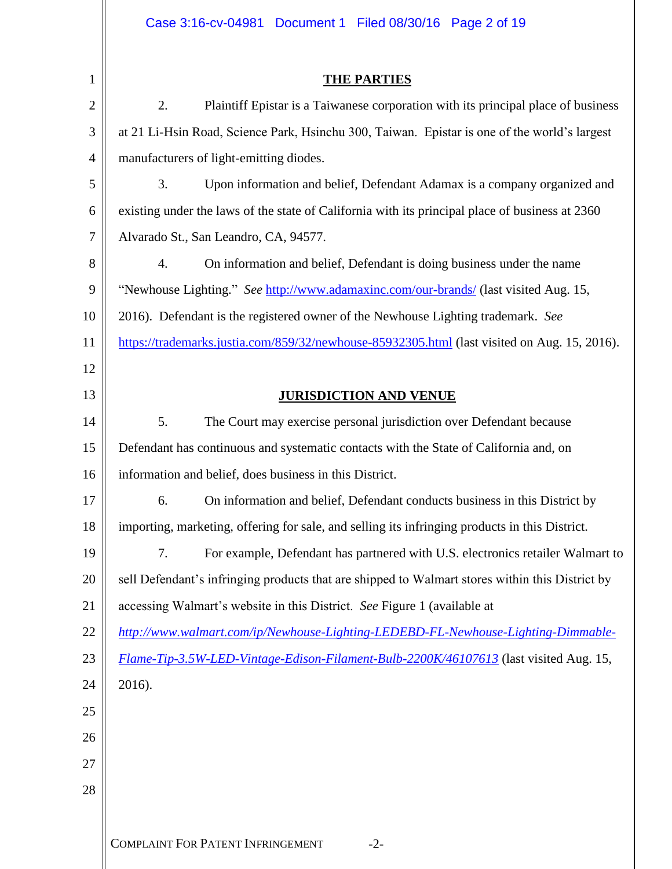|                | Case 3:16-cv-04981  Document 1  Filed 08/30/16  Page 2 of 19                                    |  |  |  |  |
|----------------|-------------------------------------------------------------------------------------------------|--|--|--|--|
|                |                                                                                                 |  |  |  |  |
| $\mathbf{1}$   | <b>THE PARTIES</b>                                                                              |  |  |  |  |
| $\overline{2}$ | 2.<br>Plaintiff Epistar is a Taiwanese corporation with its principal place of business         |  |  |  |  |
| 3              | at 21 Li-Hsin Road, Science Park, Hsinchu 300, Taiwan. Epistar is one of the world's largest    |  |  |  |  |
| $\overline{4}$ | manufacturers of light-emitting diodes.                                                         |  |  |  |  |
| 5              | 3.<br>Upon information and belief, Defendant Adamax is a company organized and                  |  |  |  |  |
| 6              | existing under the laws of the state of California with its principal place of business at 2360 |  |  |  |  |
| 7              | Alvarado St., San Leandro, CA, 94577.                                                           |  |  |  |  |
| 8              | $\overline{4}$ .<br>On information and belief, Defendant is doing business under the name       |  |  |  |  |
| 9              | "Newhouse Lighting." See http://www.adamaxinc.com/our-brands/ (last visited Aug. 15,            |  |  |  |  |
| 10             | 2016). Defendant is the registered owner of the Newhouse Lighting trademark. See                |  |  |  |  |
| 11             | https://trademarks.justia.com/859/32/newhouse-85932305.html (last visited on Aug. 15, 2016).    |  |  |  |  |
| 12             |                                                                                                 |  |  |  |  |
| 13             | <b>JURISDICTION AND VENUE</b>                                                                   |  |  |  |  |
| 14             | 5.<br>The Court may exercise personal jurisdiction over Defendant because                       |  |  |  |  |
| 15             | Defendant has continuous and systematic contacts with the State of California and, on           |  |  |  |  |
| 16             | information and belief, does business in this District.                                         |  |  |  |  |
| 17             | On information and belief, Defendant conducts business in this District by<br>6.                |  |  |  |  |
| 18             | importing, marketing, offering for sale, and selling its infringing products in this District.  |  |  |  |  |
| 19             | For example, Defendant has partnered with U.S. electronics retailer Walmart to<br>7.            |  |  |  |  |
| 20             | sell Defendant's infringing products that are shipped to Walmart stores within this District by |  |  |  |  |
| 21             | accessing Walmart's website in this District. See Figure 1 (available at                        |  |  |  |  |
| 22             | http://www.walmart.com/ip/Newhouse-Lighting-LEDEBD-FL-Newhouse-Lighting-Dimmable-               |  |  |  |  |
| 23             | Flame-Tip-3.5W-LED-Vintage-Edison-Filament-Bulb-2200K/46107613 (last visited Aug. 15,           |  |  |  |  |
| 24             | 2016).                                                                                          |  |  |  |  |
| 25             |                                                                                                 |  |  |  |  |
| 26             |                                                                                                 |  |  |  |  |
| 27             |                                                                                                 |  |  |  |  |
| 28             |                                                                                                 |  |  |  |  |
|                |                                                                                                 |  |  |  |  |
|                | <b>COMPLAINT FOR PATENT INFRINGEMENT</b><br>$-2-$                                               |  |  |  |  |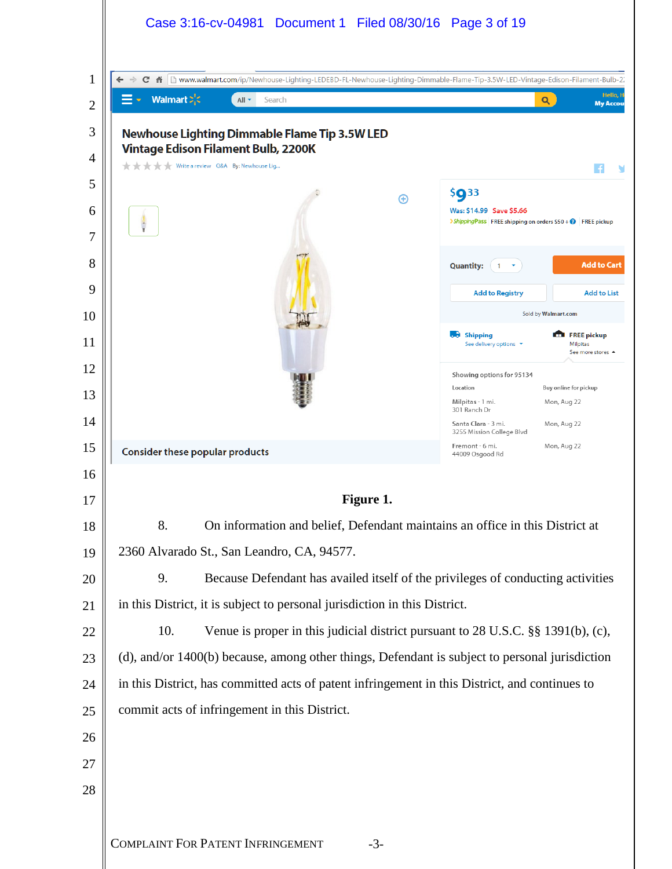| Walmart $\sum_{i=1}^{n}$                                                                       | $All -$<br>Search                                                                 |           |                                                                                        | Hello, H<br>Q<br><b>My Accou</b>                              |
|------------------------------------------------------------------------------------------------|-----------------------------------------------------------------------------------|-----------|----------------------------------------------------------------------------------------|---------------------------------------------------------------|
|                                                                                                | <b>Newhouse Lighting Dimmable Flame Tip 3.5W LED</b>                              |           |                                                                                        |                                                               |
| *****                                                                                          | <b>Vintage Edison Filament Bulb, 2200K</b><br>Write a review Q&A By: Newhouse Lig |           |                                                                                        |                                                               |
|                                                                                                |                                                                                   | Θ         | \$933                                                                                  |                                                               |
| ł                                                                                              |                                                                                   |           | Was: \$14.99 Save \$5.66<br>>ShippingPass FREE shipping on orders \$50 + @ FREE pickup |                                                               |
|                                                                                                |                                                                                   |           | <b>Quantity:</b><br>$\mathbf{1}$                                                       | <b>Add to Cart</b>                                            |
|                                                                                                |                                                                                   |           | <b>Add to Registry</b>                                                                 | <b>Add to List</b>                                            |
|                                                                                                |                                                                                   |           |                                                                                        | Sold by Walmart.com                                           |
|                                                                                                |                                                                                   |           | <b>b</b> Shipping<br>See delivery options *                                            | <b>FREE pickup</b><br>Milpitas<br>See more stores $\triangle$ |
|                                                                                                |                                                                                   |           | Showing options for 95134                                                              |                                                               |
|                                                                                                |                                                                                   |           | Location<br>Milpitas - 1 mi.<br>301 Ranch Dr                                           | Buy online for pickup<br>Mon, Aug 22                          |
|                                                                                                |                                                                                   |           | Santa Clara - 3 mi.<br>3255 Mission College Blvd                                       | Mon, Aug 22                                                   |
| Consider these popular products                                                                |                                                                                   |           | Fremont - 6 mi.<br>44009 Osgood Rd                                                     | Mon, Aug 22                                                   |
|                                                                                                |                                                                                   |           |                                                                                        |                                                               |
|                                                                                                |                                                                                   | Figure 1. |                                                                                        |                                                               |
| 8.                                                                                             | On information and belief, Defendant maintains an office in this District at      |           |                                                                                        |                                                               |
| 2360 Alvarado St., San Leandro, CA, 94577.                                                     |                                                                                   |           |                                                                                        |                                                               |
| 9.<br>Because Defendant has availed itself of the privileges of conducting activities          |                                                                                   |           |                                                                                        |                                                               |
| in this District, it is subject to personal jurisdiction in this District.                     |                                                                                   |           |                                                                                        |                                                               |
| 10.<br>Venue is proper in this judicial district pursuant to 28 U.S.C. §§ 1391(b), (c),        |                                                                                   |           |                                                                                        |                                                               |
| (d), and/or 1400(b) because, among other things, Defendant is subject to personal jurisdiction |                                                                                   |           |                                                                                        |                                                               |
| in this District, has committed acts of patent infringement in this District, and continues to |                                                                                   |           |                                                                                        |                                                               |
|                                                                                                | commit acts of infringement in this District.                                     |           |                                                                                        |                                                               |
|                                                                                                |                                                                                   |           |                                                                                        |                                                               |
|                                                                                                |                                                                                   |           |                                                                                        |                                                               |
|                                                                                                |                                                                                   |           |                                                                                        |                                                               |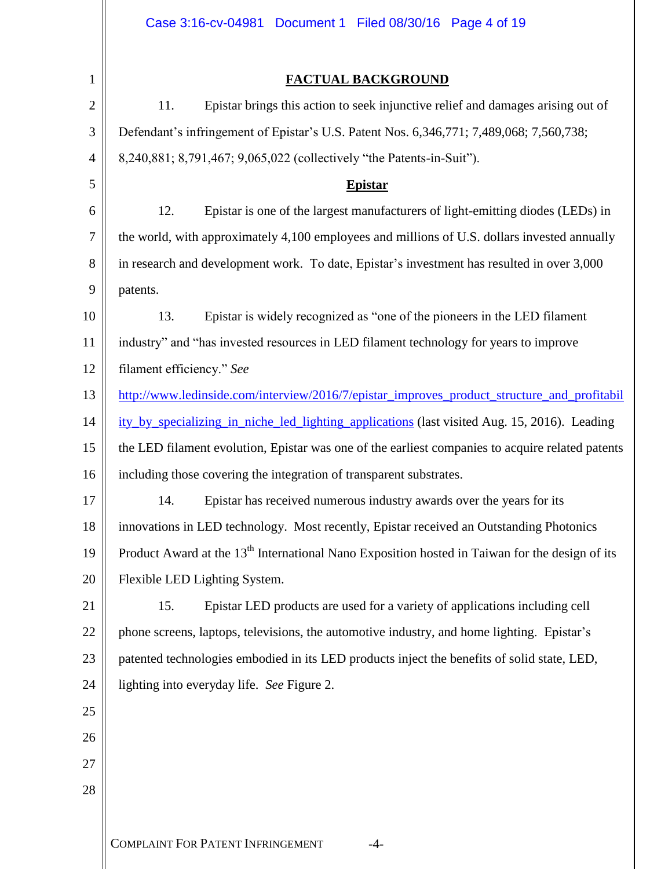|                | Case 3:16-cv-04981 Document 1 Filed 08/30/16 Page 4 of 19                                                  |  |  |
|----------------|------------------------------------------------------------------------------------------------------------|--|--|
|                |                                                                                                            |  |  |
| 1              | FACTUAL BACKGROUND                                                                                         |  |  |
| $\mathbf{2}$   | 11.<br>Epistar brings this action to seek injunctive relief and damages arising out of                     |  |  |
| 3              | Defendant's infringement of Epistar's U.S. Patent Nos. 6,346,771; 7,489,068; 7,560,738;                    |  |  |
| $\overline{4}$ | 8,240,881; 8,791,467; 9,065,022 (collectively "the Patents-in-Suit").                                      |  |  |
| 5              | <b>Epistar</b>                                                                                             |  |  |
| 6              | 12.<br>Epistar is one of the largest manufacturers of light-emitting diodes (LEDs) in                      |  |  |
| $\tau$         | the world, with approximately 4,100 employees and millions of U.S. dollars invested annually               |  |  |
| 8              | in research and development work. To date, Epistar's investment has resulted in over 3,000                 |  |  |
| 9              | patents.                                                                                                   |  |  |
| 10             | 13.<br>Epistar is widely recognized as "one of the pioneers in the LED filament                            |  |  |
| 11             | industry" and "has invested resources in LED filament technology for years to improve                      |  |  |
| 12             | filament efficiency." See                                                                                  |  |  |
| 13             | http://www.ledinside.com/interview/2016/7/epistar_improves_product_structure_and_profitabil                |  |  |
| 14             | ity by specializing in niche led lighting applications (last visited Aug. 15, 2016). Leading               |  |  |
| 15             | the LED filament evolution, Epistar was one of the earliest companies to acquire related patents           |  |  |
| 16             | including those covering the integration of transparent substrates.                                        |  |  |
| 17             | 14. Epistar has received numerous industry awards over the years for its                                   |  |  |
| 18             | innovations in LED technology. Most recently, Epistar received an Outstanding Photonics                    |  |  |
| 19             | Product Award at the 13 <sup>th</sup> International Nano Exposition hosted in Taiwan for the design of its |  |  |
| 20             | Flexible LED Lighting System.                                                                              |  |  |
| 21             | Epistar LED products are used for a variety of applications including cell<br>15.                          |  |  |
| 22             | phone screens, laptops, televisions, the automotive industry, and home lighting. Epistar's                 |  |  |
| 23             | patented technologies embodied in its LED products inject the benefits of solid state, LED,                |  |  |
| 24             | lighting into everyday life. See Figure 2.                                                                 |  |  |
| 25             |                                                                                                            |  |  |
| 26             |                                                                                                            |  |  |
| 27             |                                                                                                            |  |  |
| 28             |                                                                                                            |  |  |
|                |                                                                                                            |  |  |
|                | <b>COMPLAINT FOR PATENT INFRINGEMENT</b><br>$-4-$                                                          |  |  |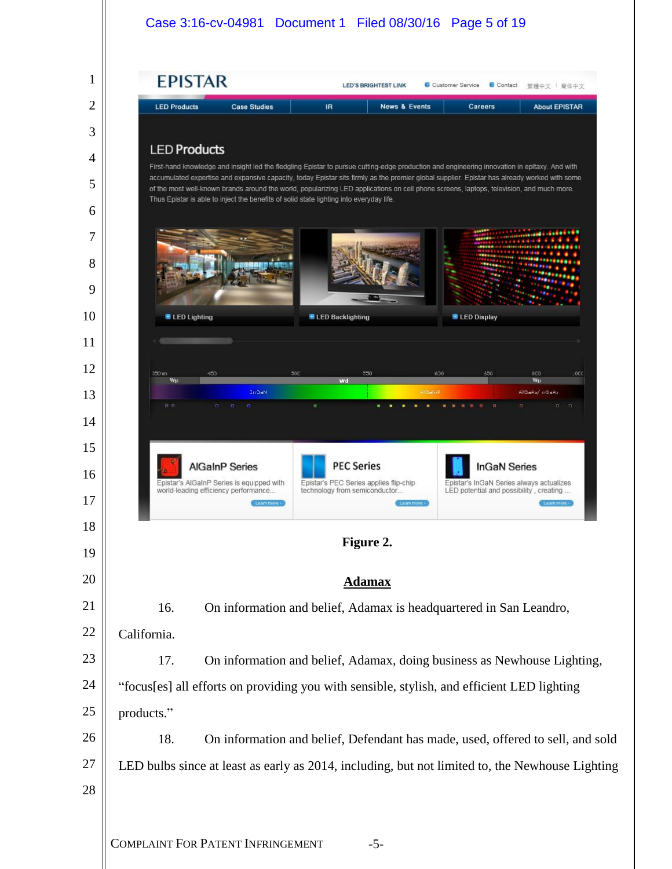### Case 3:16-cv-04981 Document 1 Filed 08/30/16 Page 5 of 19

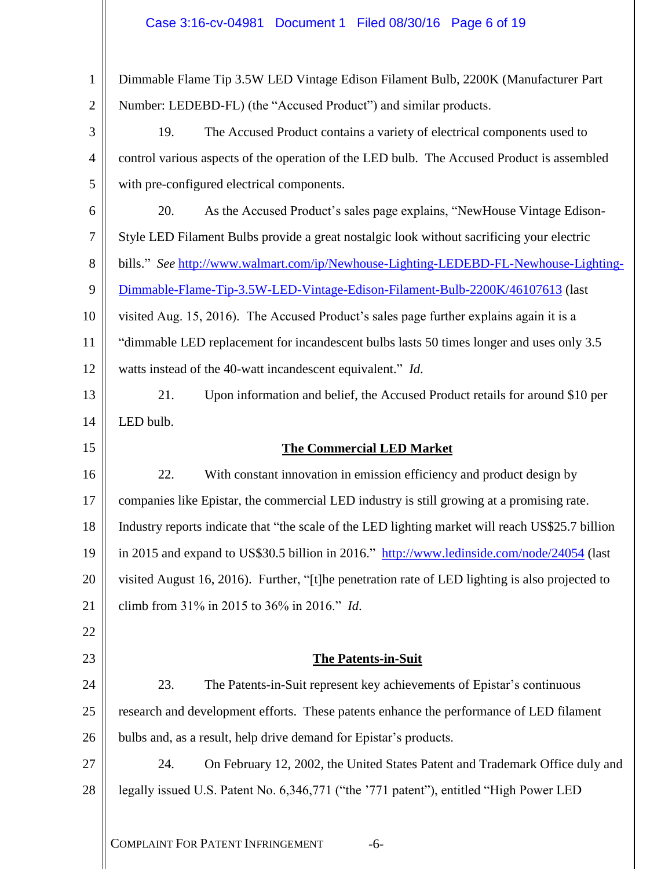# Case 3:16-cv-04981 Document 1 Filed 08/30/16 Page 6 of 19

| 1              | Dimmable Flame Tip 3.5W LED Vintage Edison Filament Bulb, 2200K (Manufacturer Part               |  |  |  |
|----------------|--------------------------------------------------------------------------------------------------|--|--|--|
| $\overline{2}$ | Number: LEDEBD-FL) (the "Accused Product") and similar products.                                 |  |  |  |
| 3              | 19.<br>The Accused Product contains a variety of electrical components used to                   |  |  |  |
| 4              | control various aspects of the operation of the LED bulb. The Accused Product is assembled       |  |  |  |
| 5              | with pre-configured electrical components.                                                       |  |  |  |
| 6              | 20.<br>As the Accused Product's sales page explains, "NewHouse Vintage Edison-                   |  |  |  |
| 7              | Style LED Filament Bulbs provide a great nostalgic look without sacrificing your electric        |  |  |  |
| 8              | bills." See http://www.walmart.com/ip/Newhouse-Lighting-LEDEBD-FL-Newhouse-Lighting-             |  |  |  |
| 9              | Dimmable-Flame-Tip-3.5W-LED-Vintage-Edison-Filament-Bulb-2200K/46107613 (last                    |  |  |  |
| 10             | visited Aug. 15, 2016). The Accused Product's sales page further explains again it is a          |  |  |  |
| 11             | "dimmable LED replacement for incandescent bulbs lasts 50 times longer and uses only 3.5         |  |  |  |
| 12             | watts instead of the 40-watt incandescent equivalent." Id.                                       |  |  |  |
| 13             | 21.<br>Upon information and belief, the Accused Product retails for around \$10 per              |  |  |  |
| 14             | LED bulb.                                                                                        |  |  |  |
| 15             | <b>The Commercial LED Market</b>                                                                 |  |  |  |
| 16             | 22.<br>With constant innovation in emission efficiency and product design by                     |  |  |  |
| 17             | companies like Epistar, the commercial LED industry is still growing at a promising rate.        |  |  |  |
| 18             | Industry reports indicate that "the scale of the LED lighting market will reach US\$25.7 billion |  |  |  |
| 19             | in 2015 and expand to US\$30.5 billion in 2016." http://www.ledinside.com/node/24054 (last       |  |  |  |
| 20             | visited August 16, 2016). Further, "[t] he penetration rate of LED lighting is also projected to |  |  |  |
| 21             | climb from 31% in 2015 to 36% in 2016." Id.                                                      |  |  |  |
| 22             |                                                                                                  |  |  |  |
| 23             | <b>The Patents-in-Suit</b>                                                                       |  |  |  |
| 24             | 23.<br>The Patents-in-Suit represent key achievements of Epistar's continuous                    |  |  |  |
| 25             | research and development efforts. These patents enhance the performance of LED filament          |  |  |  |
| 26             | bulbs and, as a result, help drive demand for Epistar's products.                                |  |  |  |
| 27             | 24.<br>On February 12, 2002, the United States Patent and Trademark Office duly and              |  |  |  |
| 28             | legally issued U.S. Patent No. 6,346,771 ("the '771 patent"), entitled "High Power LED           |  |  |  |
|                | <b>COMPLAINT FOR PATENT INFRINGEMENT</b><br>$-6-$                                                |  |  |  |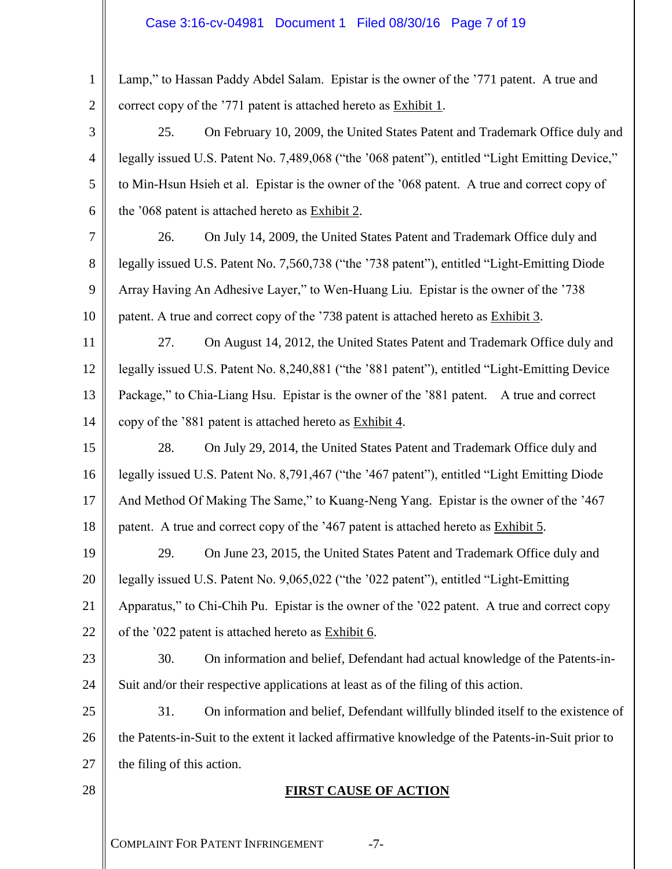## Case 3:16-cv-04981 Document 1 Filed 08/30/16 Page 7 of 19

| $\mathbf{1}$   | Lamp," to Hassan Paddy Abdel Salam. Epistar is the owner of the '771 patent. A true and           |  |  |  |
|----------------|---------------------------------------------------------------------------------------------------|--|--|--|
| $\overline{2}$ | correct copy of the '771 patent is attached hereto as Exhibit 1.                                  |  |  |  |
| 3              | 25.<br>On February 10, 2009, the United States Patent and Trademark Office duly and               |  |  |  |
| $\overline{4}$ | legally issued U.S. Patent No. 7,489,068 ("the '068 patent"), entitled "Light Emitting Device,"   |  |  |  |
| 5              | to Min-Hsun Hsieh et al. Epistar is the owner of the '068 patent. A true and correct copy of      |  |  |  |
| 6              | the '068 patent is attached hereto as Exhibit 2.                                                  |  |  |  |
| 7              | 26.<br>On July 14, 2009, the United States Patent and Trademark Office duly and                   |  |  |  |
| 8              | legally issued U.S. Patent No. 7,560,738 ("the '738 patent"), entitled "Light-Emitting Diode      |  |  |  |
| 9              | Array Having An Adhesive Layer," to Wen-Huang Liu. Epistar is the owner of the '738               |  |  |  |
| 10             | patent. A true and correct copy of the '738 patent is attached hereto as Exhibit 3.               |  |  |  |
| 11             | 27.<br>On August 14, 2012, the United States Patent and Trademark Office duly and                 |  |  |  |
| 12             | legally issued U.S. Patent No. 8,240,881 ("the '881 patent"), entitled "Light-Emitting Device     |  |  |  |
| 13             | Package," to Chia-Liang Hsu. Epistar is the owner of the '881 patent. A true and correct          |  |  |  |
| 14             | copy of the '881 patent is attached hereto as Exhibit 4.                                          |  |  |  |
| 15             | 28.<br>On July 29, 2014, the United States Patent and Trademark Office duly and                   |  |  |  |
| 16             | legally issued U.S. Patent No. 8,791,467 ("the '467 patent"), entitled "Light Emitting Diode      |  |  |  |
| 17             | And Method Of Making The Same," to Kuang-Neng Yang. Epistar is the owner of the '467              |  |  |  |
| 18             | patent. A true and correct copy of the '467 patent is attached hereto as Exhibit 5.               |  |  |  |
| 19             | On June 23, 2015, the United States Patent and Trademark Office duly and<br>29.                   |  |  |  |
| 20             | legally issued U.S. Patent No. 9,065,022 ("the '022 patent"), entitled "Light-Emitting            |  |  |  |
| 21             | Apparatus," to Chi-Chih Pu. Epistar is the owner of the '022 patent. A true and correct copy      |  |  |  |
| 22             | of the '022 patent is attached hereto as Exhibit 6.                                               |  |  |  |
| 23             | 30.<br>On information and belief, Defendant had actual knowledge of the Patents-in-               |  |  |  |
| 24             | Suit and/or their respective applications at least as of the filing of this action.               |  |  |  |
| 25             | 31.<br>On information and belief, Defendant willfully blinded itself to the existence of          |  |  |  |
| 26             | the Patents-in-Suit to the extent it lacked affirmative knowledge of the Patents-in-Suit prior to |  |  |  |
| 27             | the filing of this action.                                                                        |  |  |  |
| 28             | <b>FIRST CAUSE OF ACTION</b>                                                                      |  |  |  |
|                |                                                                                                   |  |  |  |
|                | <b>COMPLAINT FOR PATENT INFRINGEMENT</b><br>$-7-$                                                 |  |  |  |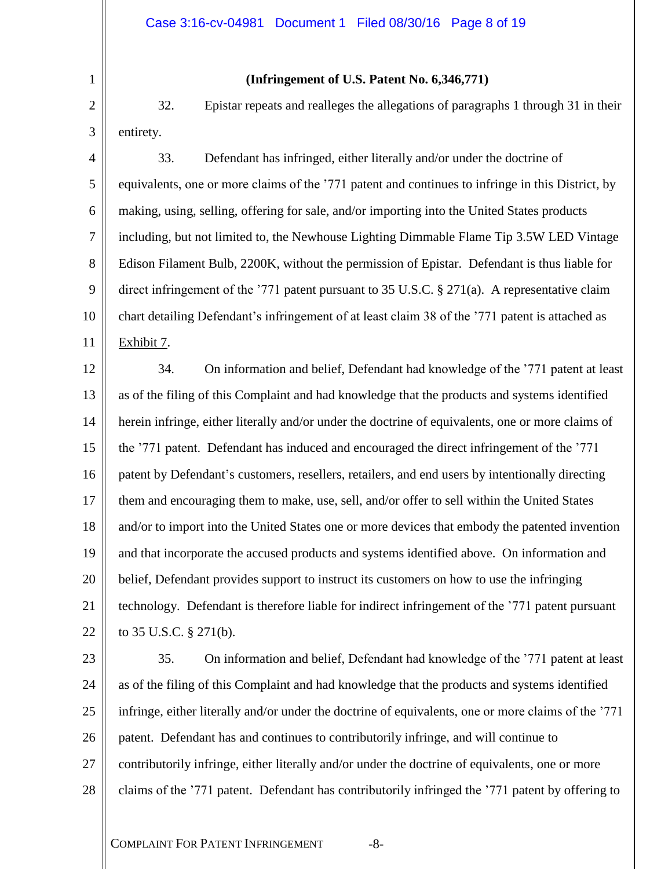1 2 3

### **(Infringement of U.S. Patent No. 6,346,771)**

32. Epistar repeats and realleges the allegations of paragraphs 1 through 31 in their entirety.

4 5 6 7 8 9 10 11 33. Defendant has infringed, either literally and/or under the doctrine of equivalents, one or more claims of the '771 patent and continues to infringe in this District, by making, using, selling, offering for sale, and/or importing into the United States products including, but not limited to, the Newhouse Lighting Dimmable Flame Tip 3.5W LED Vintage Edison Filament Bulb, 2200K, without the permission of Epistar. Defendant is thus liable for direct infringement of the '771 patent pursuant to 35 U.S.C. § 271(a). A representative claim chart detailing Defendant's infringement of at least claim 38 of the '771 patent is attached as Exhibit 7.

12 13 14 15 16 17 18 19 20 21 22 34. On information and belief, Defendant had knowledge of the '771 patent at least as of the filing of this Complaint and had knowledge that the products and systems identified herein infringe, either literally and/or under the doctrine of equivalents, one or more claims of the '771 patent. Defendant has induced and encouraged the direct infringement of the '771 patent by Defendant's customers, resellers, retailers, and end users by intentionally directing them and encouraging them to make, use, sell, and/or offer to sell within the United States and/or to import into the United States one or more devices that embody the patented invention and that incorporate the accused products and systems identified above. On information and belief, Defendant provides support to instruct its customers on how to use the infringing technology. Defendant is therefore liable for indirect infringement of the '771 patent pursuant to 35 U.S.C. § 271(b).

23

24 25 26 27 28 35. On information and belief, Defendant had knowledge of the '771 patent at least as of the filing of this Complaint and had knowledge that the products and systems identified infringe, either literally and/or under the doctrine of equivalents, one or more claims of the '771 patent. Defendant has and continues to contributorily infringe, and will continue to contributorily infringe, either literally and/or under the doctrine of equivalents, one or more claims of the '771 patent. Defendant has contributorily infringed the '771 patent by offering to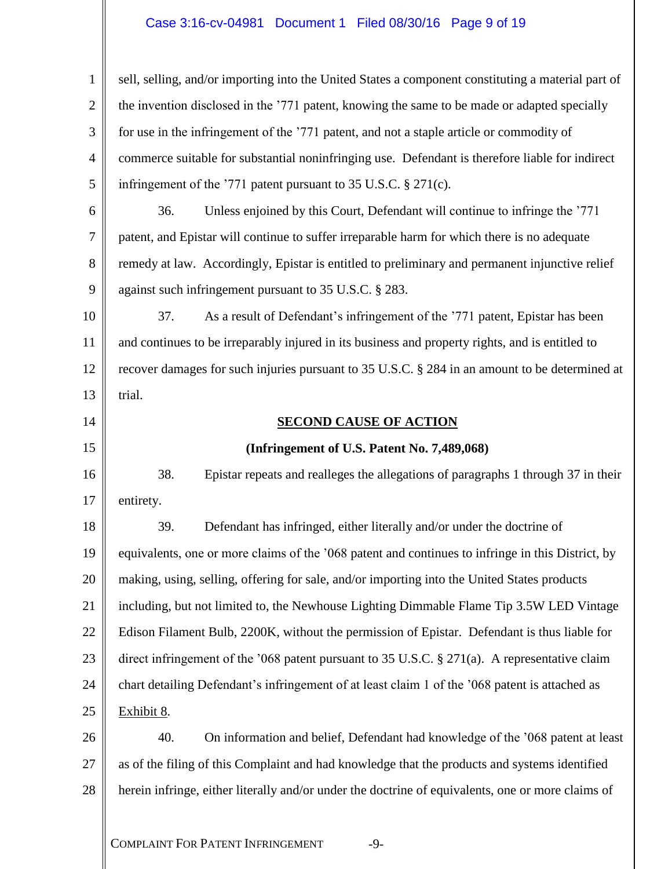## Case 3:16-cv-04981 Document 1 Filed 08/30/16 Page 9 of 19

| $\mathbf{1}$   | sell, selling, and/or importing into the United States a component constituting a material part of |  |  |  |
|----------------|----------------------------------------------------------------------------------------------------|--|--|--|
| $\overline{2}$ | the invention disclosed in the '771 patent, knowing the same to be made or adapted specially       |  |  |  |
| 3              | for use in the infringement of the '771 patent, and not a staple article or commodity of           |  |  |  |
| 4              | commerce suitable for substantial noninfringing use. Defendant is therefore liable for indirect    |  |  |  |
| 5              | infringement of the '771 patent pursuant to 35 U.S.C. $\S 271(c)$ .                                |  |  |  |
| 6              | Unless enjoined by this Court, Defendant will continue to infringe the '771<br>36.                 |  |  |  |
| 7              | patent, and Epistar will continue to suffer irreparable harm for which there is no adequate        |  |  |  |
| 8              | remedy at law. Accordingly, Epistar is entitled to preliminary and permanent injunctive relief     |  |  |  |
| 9              | against such infringement pursuant to 35 U.S.C. § 283.                                             |  |  |  |
| 10             | As a result of Defendant's infringement of the '771 patent, Epistar has been<br>37.                |  |  |  |
| 11             | and continues to be irreparably injured in its business and property rights, and is entitled to    |  |  |  |
| 12             | recover damages for such injuries pursuant to 35 U.S.C. § 284 in an amount to be determined at     |  |  |  |
| 13             | trial.                                                                                             |  |  |  |
| 14             | <b>SECOND CAUSE OF ACTION</b>                                                                      |  |  |  |
| 15             | (Infringement of U.S. Patent No. 7,489,068)                                                        |  |  |  |
| 16             | 38.<br>Epistar repeats and realleges the allegations of paragraphs 1 through 37 in their           |  |  |  |
| 17             | entirety.                                                                                          |  |  |  |
| 18             | Defendant has infringed, either literally and/or under the doctrine of<br>39.                      |  |  |  |
| 19             | equivalents, one or more claims of the '068 patent and continues to infringe in this District, by  |  |  |  |
| 20             | making, using, selling, offering for sale, and/or importing into the United States products        |  |  |  |
| 21             | including, but not limited to, the Newhouse Lighting Dimmable Flame Tip 3.5W LED Vintage           |  |  |  |
| 22             | Edison Filament Bulb, 2200K, without the permission of Epistar. Defendant is thus liable for       |  |  |  |
| 23             | direct infringement of the '068 patent pursuant to 35 U.S.C. $\S 271(a)$ . A representative claim  |  |  |  |
| 24             | chart detailing Defendant's infringement of at least claim 1 of the '068 patent is attached as     |  |  |  |
| 25             | Exhibit 8.                                                                                         |  |  |  |
| 26             | On information and belief, Defendant had knowledge of the '068 patent at least<br>40.              |  |  |  |
| 27             | as of the filing of this Complaint and had knowledge that the products and systems identified      |  |  |  |
| 28             | herein infringe, either literally and/or under the doctrine of equivalents, one or more claims of  |  |  |  |
|                | <b>COMPLAINT FOR PATENT INFRINGEMENT</b><br>$-9-$                                                  |  |  |  |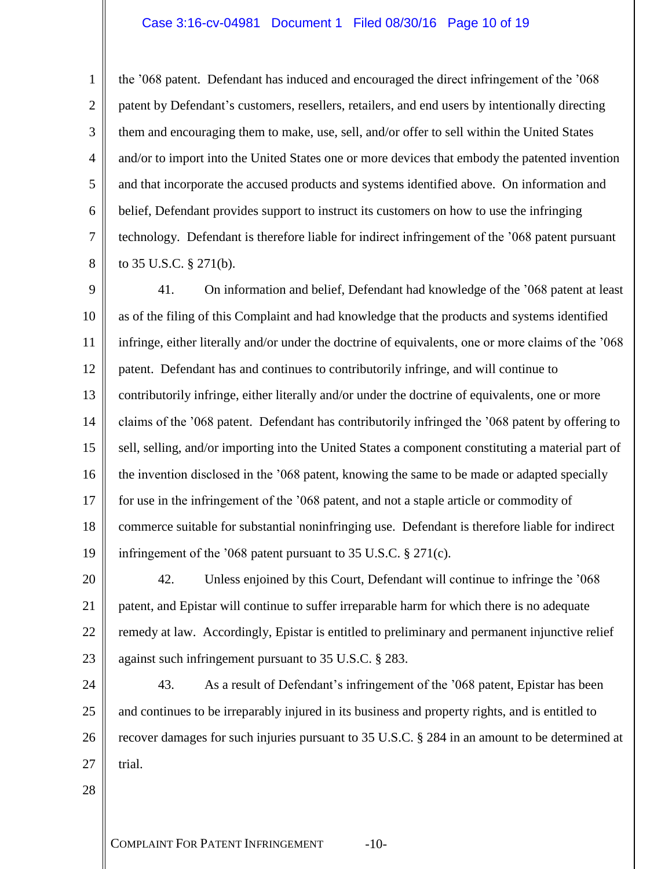### Case 3:16-cv-04981 Document 1 Filed 08/30/16 Page 10 of 19

the '068 patent. Defendant has induced and encouraged the direct infringement of the '068 patent by Defendant's customers, resellers, retailers, and end users by intentionally directing them and encouraging them to make, use, sell, and/or offer to sell within the United States and/or to import into the United States one or more devices that embody the patented invention and that incorporate the accused products and systems identified above. On information and belief, Defendant provides support to instruct its customers on how to use the infringing technology. Defendant is therefore liable for indirect infringement of the '068 patent pursuant to 35 U.S.C. § 271(b).

9 10 11 12 13 14 15 16 17 18 19 41. On information and belief, Defendant had knowledge of the '068 patent at least as of the filing of this Complaint and had knowledge that the products and systems identified infringe, either literally and/or under the doctrine of equivalents, one or more claims of the '068 patent. Defendant has and continues to contributorily infringe, and will continue to contributorily infringe, either literally and/or under the doctrine of equivalents, one or more claims of the '068 patent. Defendant has contributorily infringed the '068 patent by offering to sell, selling, and/or importing into the United States a component constituting a material part of the invention disclosed in the '068 patent, knowing the same to be made or adapted specially for use in the infringement of the '068 patent, and not a staple article or commodity of commerce suitable for substantial noninfringing use. Defendant is therefore liable for indirect infringement of the '068 patent pursuant to 35 U.S.C. § 271(c).

20 21 22 23 42. Unless enjoined by this Court, Defendant will continue to infringe the '068 patent, and Epistar will continue to suffer irreparable harm for which there is no adequate remedy at law. Accordingly, Epistar is entitled to preliminary and permanent injunctive relief against such infringement pursuant to 35 U.S.C. § 283.

24 25 26 27 43. As a result of Defendant's infringement of the '068 patent, Epistar has been and continues to be irreparably injured in its business and property rights, and is entitled to recover damages for such injuries pursuant to 35 U.S.C. § 284 in an amount to be determined at trial.

28

1

2

3

4

5

6

7

8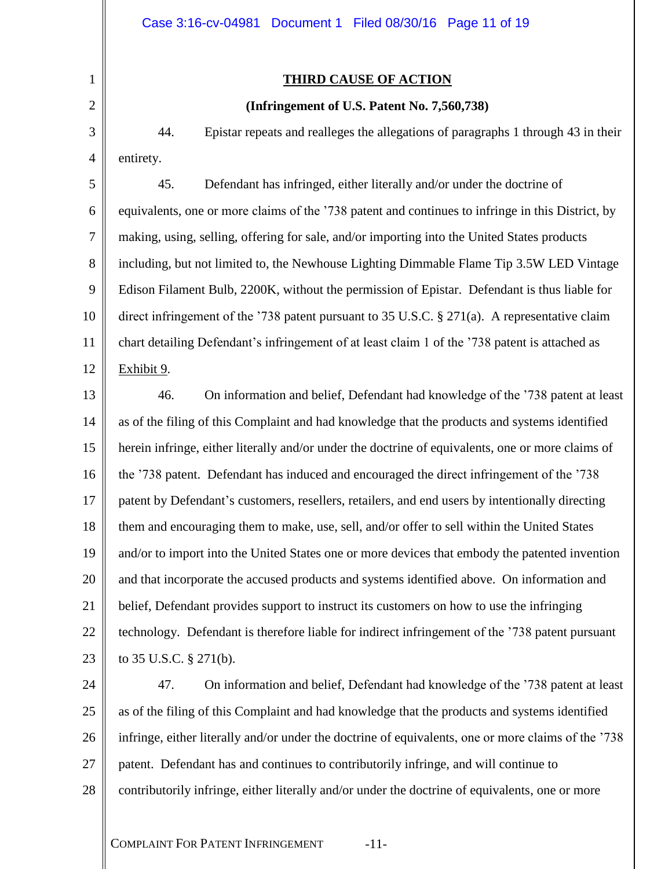### **THIRD CAUSE OF ACTION**

### **(Infringement of U.S. Patent No. 7,560,738)**

44. Epistar repeats and realleges the allegations of paragraphs 1 through 43 in their entirety.

5 6 7 8 9 11 12 45. Defendant has infringed, either literally and/or under the doctrine of equivalents, one or more claims of the '738 patent and continues to infringe in this District, by making, using, selling, offering for sale, and/or importing into the United States products including, but not limited to, the Newhouse Lighting Dimmable Flame Tip 3.5W LED Vintage Edison Filament Bulb, 2200K, without the permission of Epistar. Defendant is thus liable for direct infringement of the '738 patent pursuant to 35 U.S.C. § 271(a). A representative claim chart detailing Defendant's infringement of at least claim 1 of the '738 patent is attached as Exhibit 9.

13 14 15 16 17 18 19 20 21 22 23 46. On information and belief, Defendant had knowledge of the '738 patent at least as of the filing of this Complaint and had knowledge that the products and systems identified herein infringe, either literally and/or under the doctrine of equivalents, one or more claims of the '738 patent. Defendant has induced and encouraged the direct infringement of the '738 patent by Defendant's customers, resellers, retailers, and end users by intentionally directing them and encouraging them to make, use, sell, and/or offer to sell within the United States and/or to import into the United States one or more devices that embody the patented invention and that incorporate the accused products and systems identified above. On information and belief, Defendant provides support to instruct its customers on how to use the infringing technology. Defendant is therefore liable for indirect infringement of the '738 patent pursuant to 35 U.S.C. § 271(b).

24 25 26 27 28 47. On information and belief, Defendant had knowledge of the '738 patent at least as of the filing of this Complaint and had knowledge that the products and systems identified infringe, either literally and/or under the doctrine of equivalents, one or more claims of the '738 patent. Defendant has and continues to contributorily infringe, and will continue to contributorily infringe, either literally and/or under the doctrine of equivalents, one or more

COMPLAINT FOR PATENT INFRINGEMENT -11-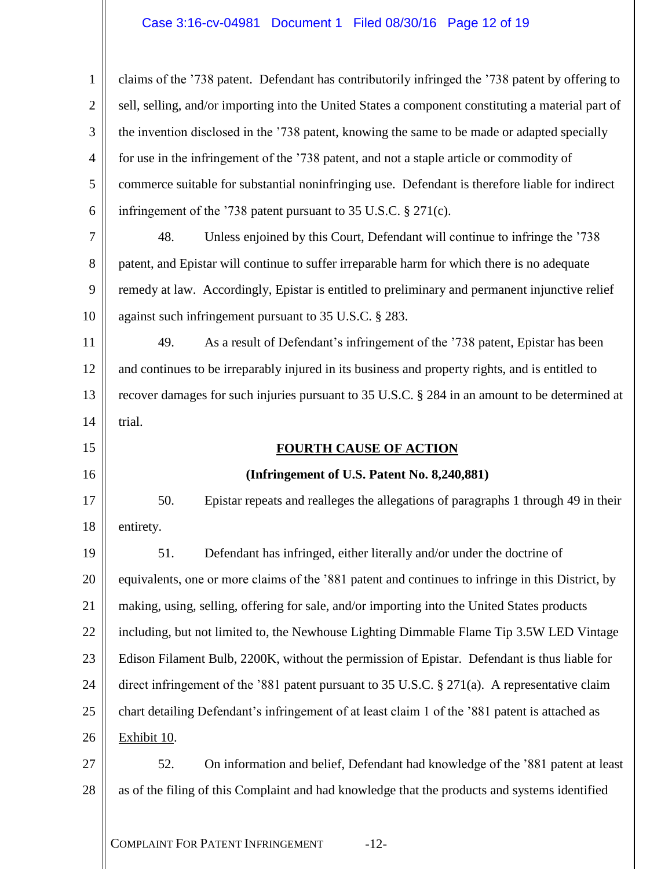## Case 3:16-cv-04981 Document 1 Filed 08/30/16 Page 12 of 19

| $\mathbf{1}$   | claims of the '738 patent. Defendant has contributorily infringed the '738 patent by offering to   |  |  |
|----------------|----------------------------------------------------------------------------------------------------|--|--|
| $\overline{2}$ | sell, selling, and/or importing into the United States a component constituting a material part of |  |  |
| 3              | the invention disclosed in the '738 patent, knowing the same to be made or adapted specially       |  |  |
| 4              | for use in the infringement of the '738 patent, and not a staple article or commodity of           |  |  |
| 5              | commerce suitable for substantial noninfringing use. Defendant is therefore liable for indirect    |  |  |
| 6              | infringement of the '738 patent pursuant to 35 U.S.C. § 271(c).                                    |  |  |
| 7              | Unless enjoined by this Court, Defendant will continue to infringe the '738<br>48.                 |  |  |
| 8              | patent, and Epistar will continue to suffer irreparable harm for which there is no adequate        |  |  |
| 9              | remedy at law. Accordingly, Epistar is entitled to preliminary and permanent injunctive relief     |  |  |
| 10             | against such infringement pursuant to 35 U.S.C. § 283.                                             |  |  |
| 11             | As a result of Defendant's infringement of the '738 patent, Epistar has been<br>49.                |  |  |
| 12             | and continues to be irreparably injured in its business and property rights, and is entitled to    |  |  |
| 13             | recover damages for such injuries pursuant to 35 U.S.C. § 284 in an amount to be determined at     |  |  |
| 14             | trial.                                                                                             |  |  |
|                |                                                                                                    |  |  |
| 15             | <b>FOURTH CAUSE OF ACTION</b>                                                                      |  |  |
| 16             | (Infringement of U.S. Patent No. 8,240,881)                                                        |  |  |
| 17             | 50.<br>Epistar repeats and realleges the allegations of paragraphs 1 through 49 in their           |  |  |
| 18             | entirety.                                                                                          |  |  |
| 19             | Defendant has infringed, either literally and/or under the doctrine of<br>51                       |  |  |
| 20             | equivalents, one or more claims of the '881 patent and continues to infringe in this District, by  |  |  |
| 21             | making, using, selling, offering for sale, and/or importing into the United States products        |  |  |
| 22             | including, but not limited to, the Newhouse Lighting Dimmable Flame Tip 3.5W LED Vintage           |  |  |
| 23             | Edison Filament Bulb, 2200K, without the permission of Epistar. Defendant is thus liable for       |  |  |
| 24             | direct infringement of the '881 patent pursuant to 35 U.S.C. $\S 271(a)$ . A representative claim  |  |  |
| 25             | chart detailing Defendant's infringement of at least claim 1 of the '881 patent is attached as     |  |  |
| 26             | Exhibit 10.                                                                                        |  |  |
| 27             | On information and belief, Defendant had knowledge of the '881 patent at least<br>52.              |  |  |
| 28             | as of the filing of this Complaint and had knowledge that the products and systems identified      |  |  |
|                |                                                                                                    |  |  |

COMPLAINT FOR PATENT INFRINGEMENT -12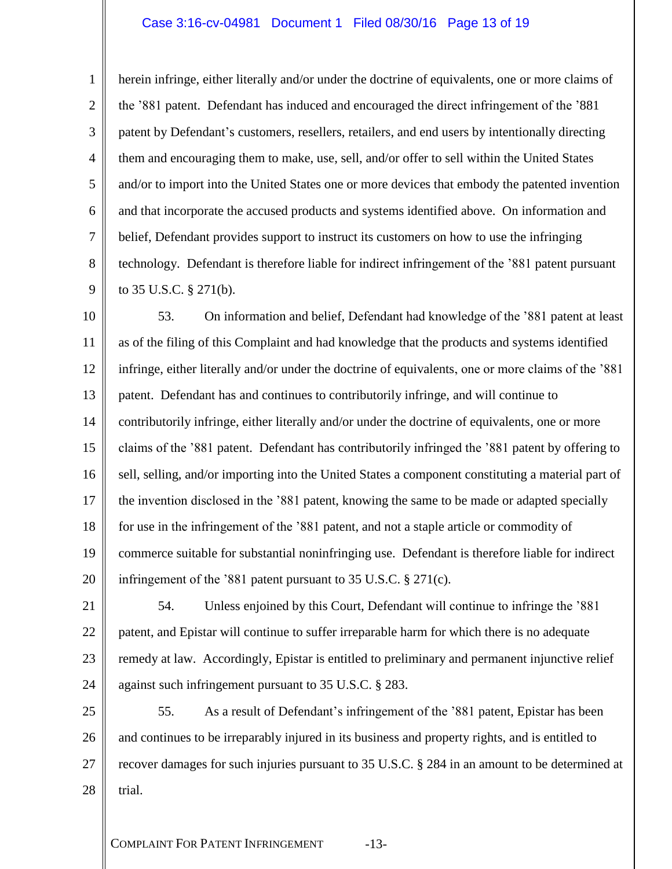### Case 3:16-cv-04981 Document 1 Filed 08/30/16 Page 13 of 19

5 6 7 herein infringe, either literally and/or under the doctrine of equivalents, one or more claims of the '881 patent. Defendant has induced and encouraged the direct infringement of the '881 patent by Defendant's customers, resellers, retailers, and end users by intentionally directing them and encouraging them to make, use, sell, and/or offer to sell within the United States and/or to import into the United States one or more devices that embody the patented invention and that incorporate the accused products and systems identified above. On information and belief, Defendant provides support to instruct its customers on how to use the infringing technology. Defendant is therefore liable for indirect infringement of the '881 patent pursuant to 35 U.S.C. § 271(b).

10 11 12 13 14 15 16 17 18 19 20 53. On information and belief, Defendant had knowledge of the '881 patent at least as of the filing of this Complaint and had knowledge that the products and systems identified infringe, either literally and/or under the doctrine of equivalents, one or more claims of the '881 patent. Defendant has and continues to contributorily infringe, and will continue to contributorily infringe, either literally and/or under the doctrine of equivalents, one or more claims of the '881 patent. Defendant has contributorily infringed the '881 patent by offering to sell, selling, and/or importing into the United States a component constituting a material part of the invention disclosed in the '881 patent, knowing the same to be made or adapted specially for use in the infringement of the '881 patent, and not a staple article or commodity of commerce suitable for substantial noninfringing use. Defendant is therefore liable for indirect infringement of the '881 patent pursuant to 35 U.S.C. § 271(c).

21 22 23

24

1

2

3

4

8

9

54. Unless enjoined by this Court, Defendant will continue to infringe the '881 patent, and Epistar will continue to suffer irreparable harm for which there is no adequate remedy at law. Accordingly, Epistar is entitled to preliminary and permanent injunctive relief against such infringement pursuant to 35 U.S.C. § 283.

25 26 27 28 55. As a result of Defendant's infringement of the '881 patent, Epistar has been and continues to be irreparably injured in its business and property rights, and is entitled to recover damages for such injuries pursuant to 35 U.S.C. § 284 in an amount to be determined at trial.

COMPLAINT FOR PATENT INFRINGEMENT -13-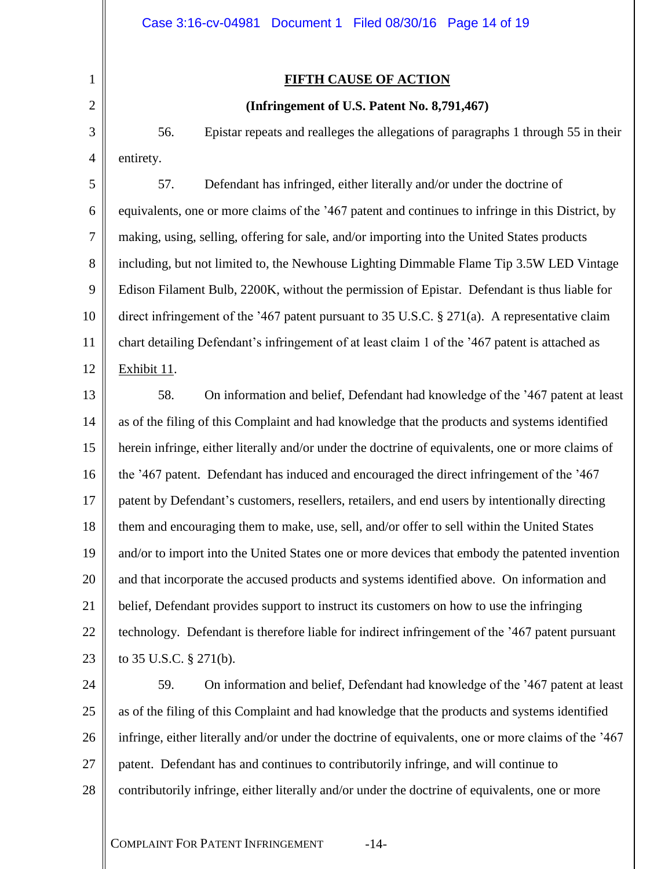### **FIFTH CAUSE OF ACTION**

### **(Infringement of U.S. Patent No. 8,791,467)**

56. Epistar repeats and realleges the allegations of paragraphs 1 through 55 in their entirety.

5 6 7 8 9 10 11 12 57. Defendant has infringed, either literally and/or under the doctrine of equivalents, one or more claims of the '467 patent and continues to infringe in this District, by making, using, selling, offering for sale, and/or importing into the United States products including, but not limited to, the Newhouse Lighting Dimmable Flame Tip 3.5W LED Vintage Edison Filament Bulb, 2200K, without the permission of Epistar. Defendant is thus liable for direct infringement of the '467 patent pursuant to 35 U.S.C. § 271(a). A representative claim chart detailing Defendant's infringement of at least claim 1 of the '467 patent is attached as Exhibit 11.

13 14 15 16 17 18 19 20 21 22 23 58. On information and belief, Defendant had knowledge of the '467 patent at least as of the filing of this Complaint and had knowledge that the products and systems identified herein infringe, either literally and/or under the doctrine of equivalents, one or more claims of the '467 patent. Defendant has induced and encouraged the direct infringement of the '467 patent by Defendant's customers, resellers, retailers, and end users by intentionally directing them and encouraging them to make, use, sell, and/or offer to sell within the United States and/or to import into the United States one or more devices that embody the patented invention and that incorporate the accused products and systems identified above. On information and belief, Defendant provides support to instruct its customers on how to use the infringing technology. Defendant is therefore liable for indirect infringement of the '467 patent pursuant to 35 U.S.C. § 271(b).

24 25 26 27 28 59. On information and belief, Defendant had knowledge of the '467 patent at least as of the filing of this Complaint and had knowledge that the products and systems identified infringe, either literally and/or under the doctrine of equivalents, one or more claims of the '467 patent. Defendant has and continues to contributorily infringe, and will continue to contributorily infringe, either literally and/or under the doctrine of equivalents, one or more

COMPLAINT FOR PATENT INFRINGEMENT -14-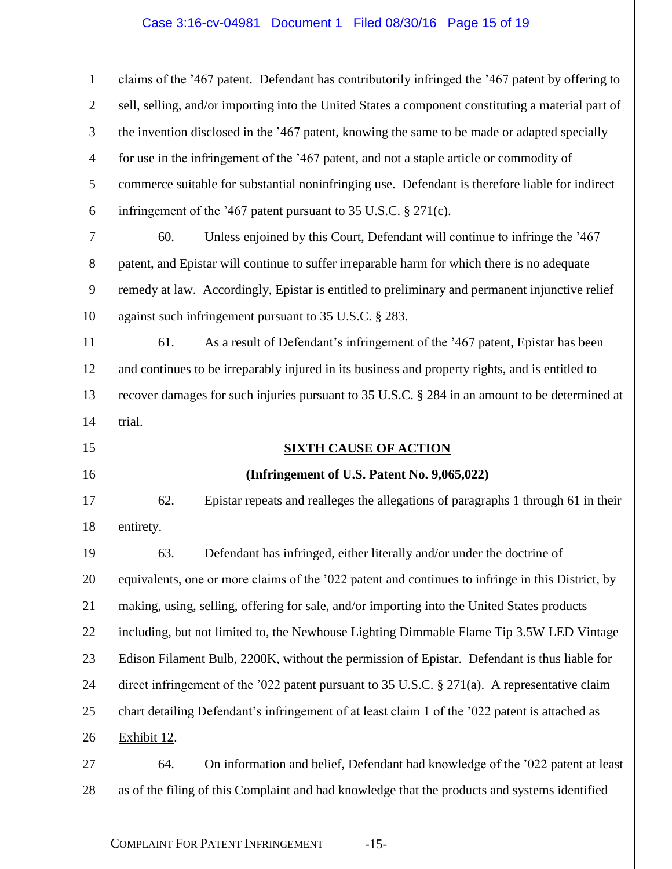## Case 3:16-cv-04981 Document 1 Filed 08/30/16 Page 15 of 19

| $\mathbf{1}$                                       | claims of the '467 patent. Defendant has contributorily infringed the '467 patent by offering to   |  |  |
|----------------------------------------------------|----------------------------------------------------------------------------------------------------|--|--|
| $\overline{2}$                                     | sell, selling, and/or importing into the United States a component constituting a material part of |  |  |
| 3                                                  | the invention disclosed in the '467 patent, knowing the same to be made or adapted specially       |  |  |
| 4                                                  | for use in the infringement of the '467 patent, and not a staple article or commodity of           |  |  |
| 5                                                  | commerce suitable for substantial noninfringing use. Defendant is therefore liable for indirect    |  |  |
| 6                                                  | infringement of the '467 patent pursuant to 35 U.S.C. $\S 271(c)$ .                                |  |  |
| 7                                                  | Unless enjoined by this Court, Defendant will continue to infringe the '467<br>60.                 |  |  |
| 8                                                  | patent, and Epistar will continue to suffer irreparable harm for which there is no adequate        |  |  |
| 9                                                  | remedy at law. Accordingly, Epistar is entitled to preliminary and permanent injunctive relief     |  |  |
| 10                                                 | against such infringement pursuant to 35 U.S.C. § 283.                                             |  |  |
| 11                                                 | As a result of Defendant's infringement of the '467 patent, Epistar has been<br>61.                |  |  |
| 12                                                 | and continues to be irreparably injured in its business and property rights, and is entitled to    |  |  |
| 13                                                 | recover damages for such injuries pursuant to 35 U.S.C. § 284 in an amount to be determined at     |  |  |
| 14                                                 | trial.                                                                                             |  |  |
|                                                    | <b>SIXTH CAUSE OF ACTION</b>                                                                       |  |  |
| 15                                                 |                                                                                                    |  |  |
|                                                    | (Infringement of U.S. Patent No. 9,065,022)                                                        |  |  |
|                                                    | 62.<br>Epistar repeats and realleges the allegations of paragraphs 1 through 61 in their           |  |  |
|                                                    | entirety.                                                                                          |  |  |
| 16<br>17<br>18<br>19                               | Defendant has infringed, either literally and/or under the doctrine of<br>63.                      |  |  |
|                                                    | equivalents, one or more claims of the '022 patent and continues to infringe in this District, by  |  |  |
|                                                    | making, using, selling, offering for sale, and/or importing into the United States products        |  |  |
|                                                    | including, but not limited to, the Newhouse Lighting Dimmable Flame Tip 3.5W LED Vintage           |  |  |
|                                                    | Edison Filament Bulb, 2200K, without the permission of Epistar. Defendant is thus liable for       |  |  |
|                                                    | direct infringement of the '022 patent pursuant to 35 U.S.C. $\S 271(a)$ . A representative claim  |  |  |
|                                                    | chart detailing Defendant's infringement of at least claim 1 of the '022 patent is attached as     |  |  |
|                                                    | Exhibit 12.                                                                                        |  |  |
|                                                    | On information and belief, Defendant had knowledge of the '022 patent at least<br>64.              |  |  |
| 20<br>21<br>22<br>23<br>24<br>25<br>26<br>27<br>28 | as of the filing of this Complaint and had knowledge that the products and systems identified      |  |  |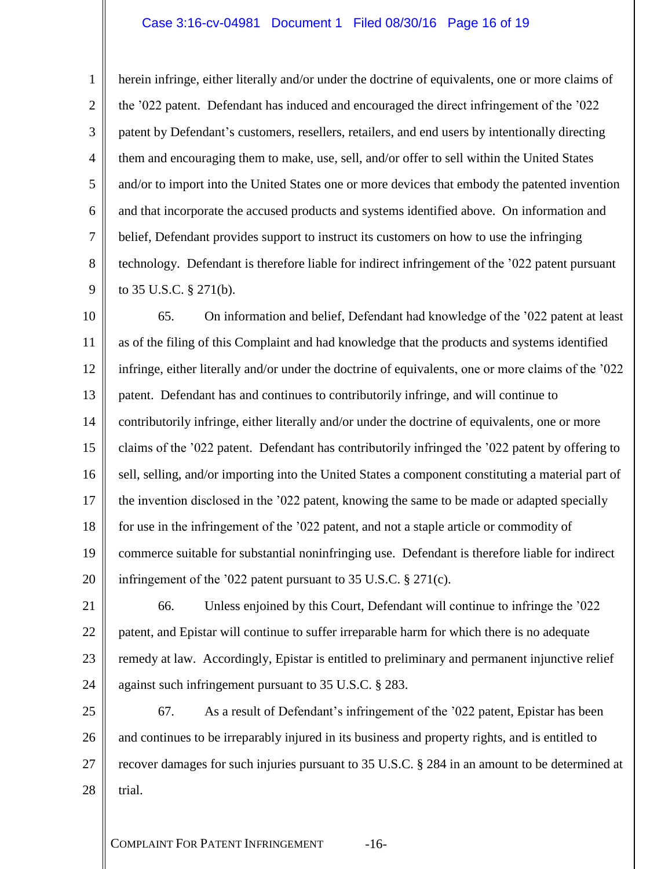### Case 3:16-cv-04981 Document 1 Filed 08/30/16 Page 16 of 19

1

2

3

4

5

6

7

8

9

herein infringe, either literally and/or under the doctrine of equivalents, one or more claims of the '022 patent. Defendant has induced and encouraged the direct infringement of the '022 patent by Defendant's customers, resellers, retailers, and end users by intentionally directing them and encouraging them to make, use, sell, and/or offer to sell within the United States and/or to import into the United States one or more devices that embody the patented invention and that incorporate the accused products and systems identified above. On information and belief, Defendant provides support to instruct its customers on how to use the infringing technology. Defendant is therefore liable for indirect infringement of the '022 patent pursuant to 35 U.S.C. § 271(b).

10 11 12 13 14 15 16 17 18 19 20 65. On information and belief, Defendant had knowledge of the '022 patent at least as of the filing of this Complaint and had knowledge that the products and systems identified infringe, either literally and/or under the doctrine of equivalents, one or more claims of the '022 patent. Defendant has and continues to contributorily infringe, and will continue to contributorily infringe, either literally and/or under the doctrine of equivalents, one or more claims of the '022 patent. Defendant has contributorily infringed the '022 patent by offering to sell, selling, and/or importing into the United States a component constituting a material part of the invention disclosed in the '022 patent, knowing the same to be made or adapted specially for use in the infringement of the '022 patent, and not a staple article or commodity of commerce suitable for substantial noninfringing use. Defendant is therefore liable for indirect infringement of the '022 patent pursuant to 35 U.S.C. § 271(c).

21 22 23 24 66. Unless enjoined by this Court, Defendant will continue to infringe the '022 patent, and Epistar will continue to suffer irreparable harm for which there is no adequate remedy at law. Accordingly, Epistar is entitled to preliminary and permanent injunctive relief against such infringement pursuant to 35 U.S.C. § 283.

25 26 27 28 67. As a result of Defendant's infringement of the '022 patent, Epistar has been and continues to be irreparably injured in its business and property rights, and is entitled to recover damages for such injuries pursuant to 35 U.S.C. § 284 in an amount to be determined at trial.

COMPLAINT FOR PATENT INFRINGEMENT -16-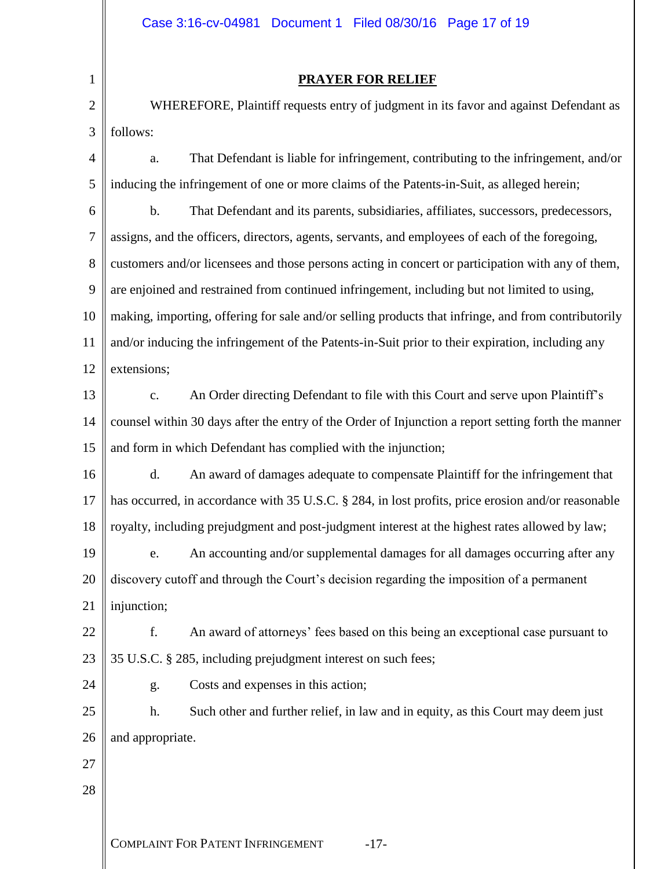1 2

3

### **PRAYER FOR RELIEF**

WHEREFORE, Plaintiff requests entry of judgment in its favor and against Defendant as follows:

4 5 a. That Defendant is liable for infringement, contributing to the infringement, and/or inducing the infringement of one or more claims of the Patents-in-Suit, as alleged herein;

6 7 8 9 10 11 12 b. That Defendant and its parents, subsidiaries, affiliates, successors, predecessors, assigns, and the officers, directors, agents, servants, and employees of each of the foregoing, customers and/or licensees and those persons acting in concert or participation with any of them, are enjoined and restrained from continued infringement, including but not limited to using, making, importing, offering for sale and/or selling products that infringe, and from contributorily and/or inducing the infringement of the Patents-in-Suit prior to their expiration, including any extensions;

13 14 15 c. An Order directing Defendant to file with this Court and serve upon Plaintiff's counsel within 30 days after the entry of the Order of Injunction a report setting forth the manner and form in which Defendant has complied with the injunction;

16 17 18 d. An award of damages adequate to compensate Plaintiff for the infringement that has occurred, in accordance with 35 U.S.C. § 284, in lost profits, price erosion and/or reasonable royalty, including prejudgment and post-judgment interest at the highest rates allowed by law;

19 20 21 e. An accounting and/or supplemental damages for all damages occurring after any discovery cutoff and through the Court's decision regarding the imposition of a permanent injunction;

22 23 f. An award of attorneys' fees based on this being an exceptional case pursuant to 35 U.S.C. § 285, including prejudgment interest on such fees;

g. Costs and expenses in this action;

25 26 h. Such other and further relief, in law and in equity, as this Court may deem just and appropriate.

27

24

28

COMPLAINT FOR PATENT INFRINGEMENT -17-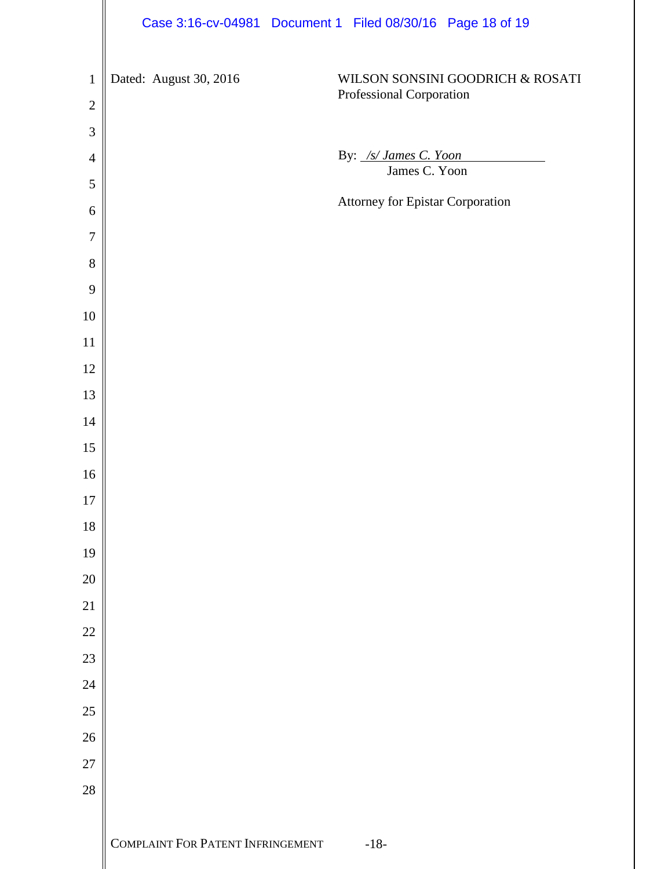|                                | Case 3:16-cv-04981 Document 1 Filed 08/30/16 Page 18 of 19 |        |                                  |                                  |  |
|--------------------------------|------------------------------------------------------------|--------|----------------------------------|----------------------------------|--|
| $\mathbf{1}$<br>$\overline{2}$ | Dated: August 30, 2016                                     |        | Professional Corporation         | WILSON SONSINI GOODRICH & ROSATI |  |
| 3                              |                                                            |        |                                  |                                  |  |
| $\overline{4}$                 |                                                            |        | By: /s/ James C. Yoon            |                                  |  |
| 5                              |                                                            |        | James C. Yoon                    |                                  |  |
| 6                              |                                                            |        | Attorney for Epistar Corporation |                                  |  |
| $\overline{7}$                 |                                                            |        |                                  |                                  |  |
| 8                              |                                                            |        |                                  |                                  |  |
| 9                              |                                                            |        |                                  |                                  |  |
| $10\,$                         |                                                            |        |                                  |                                  |  |
| 11                             |                                                            |        |                                  |                                  |  |
| 12                             |                                                            |        |                                  |                                  |  |
| 13                             |                                                            |        |                                  |                                  |  |
| 14                             |                                                            |        |                                  |                                  |  |
| 15                             |                                                            |        |                                  |                                  |  |
| 16                             |                                                            |        |                                  |                                  |  |
| 17<br>18                       |                                                            |        |                                  |                                  |  |
| 19                             |                                                            |        |                                  |                                  |  |
| $20\,$                         |                                                            |        |                                  |                                  |  |
| 21                             |                                                            |        |                                  |                                  |  |
| $22\,$                         |                                                            |        |                                  |                                  |  |
| 23                             |                                                            |        |                                  |                                  |  |
| 24                             |                                                            |        |                                  |                                  |  |
| $25\,$                         |                                                            |        |                                  |                                  |  |
| $26\,$                         |                                                            |        |                                  |                                  |  |
| 27                             |                                                            |        |                                  |                                  |  |
| 28                             |                                                            |        |                                  |                                  |  |
|                                |                                                            |        |                                  |                                  |  |
|                                | COMPLAINT FOR PATENT INFRINGEMENT                          | $-18-$ |                                  |                                  |  |